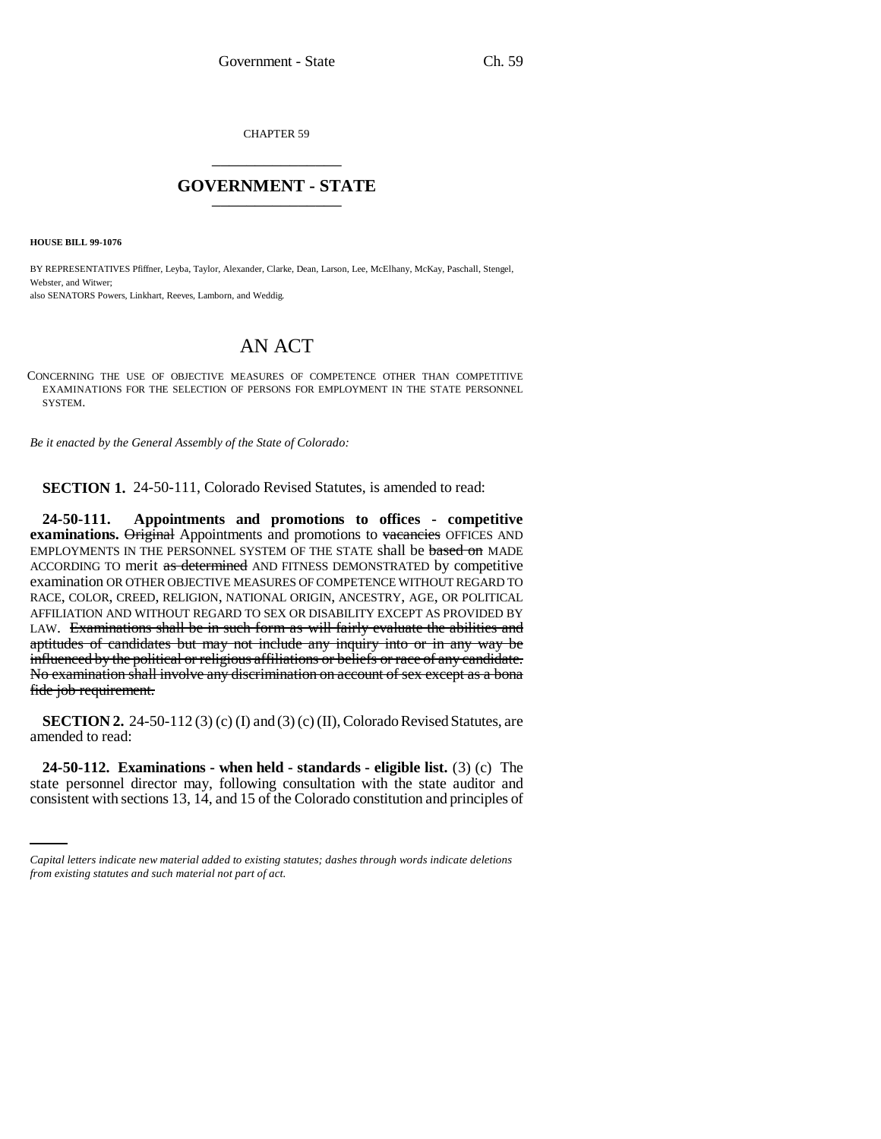CHAPTER 59 \_\_\_\_\_\_\_\_\_\_\_\_\_\_\_

## **GOVERNMENT - STATE** \_\_\_\_\_\_\_\_\_\_\_\_\_\_\_

**HOUSE BILL 99-1076** 

BY REPRESENTATIVES Pfiffner, Leyba, Taylor, Alexander, Clarke, Dean, Larson, Lee, McElhany, McKay, Paschall, Stengel, Webster, and Witwer: also SENATORS Powers, Linkhart, Reeves, Lamborn, and Weddig.

## AN ACT

CONCERNING THE USE OF OBJECTIVE MEASURES OF COMPETENCE OTHER THAN COMPETITIVE EXAMINATIONS FOR THE SELECTION OF PERSONS FOR EMPLOYMENT IN THE STATE PERSONNEL SYSTEM.

*Be it enacted by the General Assembly of the State of Colorado:*

**SECTION 1.** 24-50-111, Colorado Revised Statutes, is amended to read:

**24-50-111. Appointments and promotions to offices - competitive examinations.** Original Appointments and promotions to vacancies OFFICES AND EMPLOYMENTS IN THE PERSONNEL SYSTEM OF THE STATE shall be based on MADE ACCORDING TO merit as determined AND FITNESS DEMONSTRATED by competitive examination OR OTHER OBJECTIVE MEASURES OF COMPETENCE WITHOUT REGARD TO RACE, COLOR, CREED, RELIGION, NATIONAL ORIGIN, ANCESTRY, AGE, OR POLITICAL AFFILIATION AND WITHOUT REGARD TO SEX OR DISABILITY EXCEPT AS PROVIDED BY LAW. Examinations shall be in such form as will fairly evaluate the abilities and aptitudes of candidates but may not include any inquiry into or in any way be influenced by the political or religious affiliations or beliefs or race of any candidate. No examination shall involve any discrimination on account of sex except as a bona fide job requirement.

**SECTION 2.** 24-50-112(3) (c) (I) and (3) (c) (II), Colorado Revised Statutes, are amended to read:

 **24-50-112. Examinations - when held - standards - eligible list.** (3) (c) The state personnel director may, following consultation with the state auditor and consistent with sections 13, 14, and 15 of the Colorado constitution and principles of

*Capital letters indicate new material added to existing statutes; dashes through words indicate deletions from existing statutes and such material not part of act.*